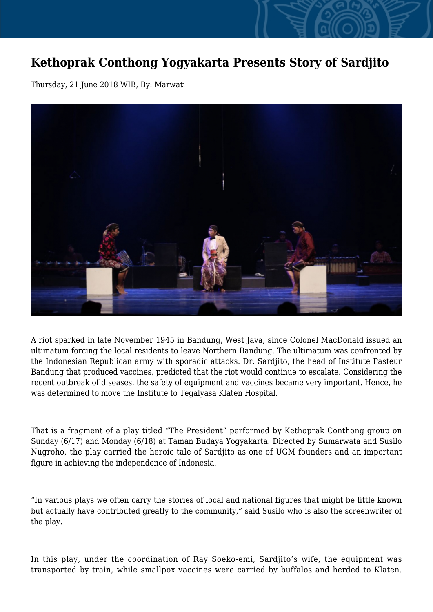## **Kethoprak Conthong Yogyakarta Presents Story of Sardjito**

Thursday, 21 June 2018 WIB, By: Marwati



A riot sparked in late November 1945 in Bandung, West Java, since Colonel MacDonald issued an ultimatum forcing the local residents to leave Northern Bandung. The ultimatum was confronted by the Indonesian Republican army with sporadic attacks. Dr. Sardjito, the head of Institute Pasteur Bandung that produced vaccines, predicted that the riot would continue to escalate. Considering the recent outbreak of diseases, the safety of equipment and vaccines became very important. Hence, he was determined to move the Institute to Tegalyasa Klaten Hospital.

That is a fragment of a play titled "The President" performed by Kethoprak Conthong group on Sunday (6/17) and Monday (6/18) at Taman Budaya Yogyakarta. Directed by Sumarwata and Susilo Nugroho, the play carried the heroic tale of Sardjito as one of UGM founders and an important figure in achieving the independence of Indonesia.

"In various plays we often carry the stories of local and national figures that might be little known but actually have contributed greatly to the community," said Susilo who is also the screenwriter of the play.

In this play, under the coordination of Ray Soeko-emi, Sardjito's wife, the equipment was transported by train, while smallpox vaccines were carried by buffalos and herded to Klaten.